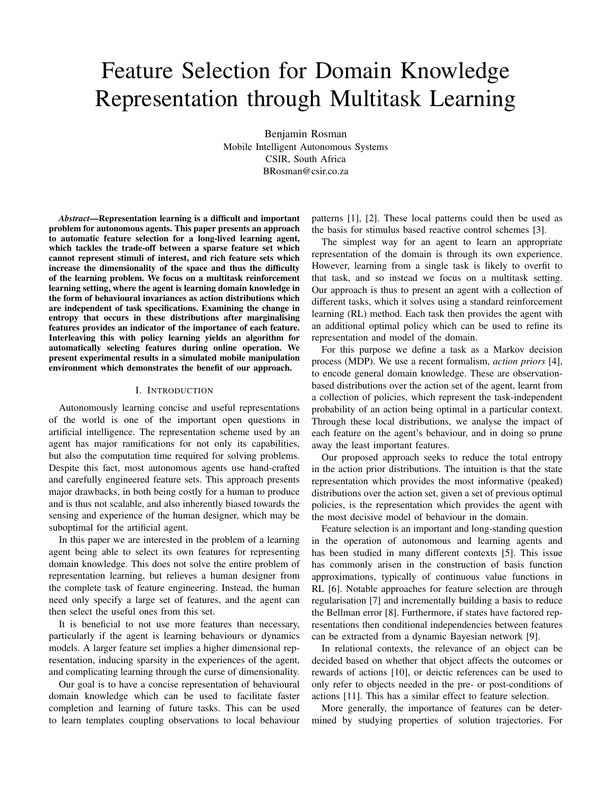# Feature Selection for Domain Knowledge Representation through Multitask Learning

Benjamin Rosman Mobile Intelligent Autonomous Systems CSIR, South Africa BRosman@csir.co.za

*Abstract*—Representation learning is a difficult and important problem for autonomous agents. This paper presents an approach to automatic feature selection for a long-lived learning agent, which tackles the trade-off between a sparse feature set which cannot represent stimuli of interest, and rich feature sets which increase the dimensionality of the space and thus the difficulty of the learning problem. We focus on a multitask reinforcement learning setting, where the agent is learning domain knowledge in the form of behavioural invariances as action distributions which are independent of task specifications. Examining the change in entropy that occurs in these distributions after marginalising features provides an indicator of the importance of each feature. Interleaving this with policy learning yields an algorithm for automatically selecting features during online operation. We present experimental results in a simulated mobile manipulation environment which demonstrates the benefit of our approach.

# I. INTRODUCTION

Autonomously learning concise and useful representations of the world is one of the important open questions in artificial intelligence. The representation scheme used by an agent has major ramifications for not only its capabilities, but also the computation time required for solving problems. Despite this fact, most autonomous agents use hand-crafted and carefully engineered feature sets. This approach presents major drawbacks, in both being costly for a human to produce and is thus not scalable, and also inherently biased towards the sensing and experience of the human designer, which may be suboptimal for the artificial agent.

In this paper we are interested in the problem of a learning agent being able to select its own features for representing domain knowledge. This does not solve the entire problem of representation learning, but relieves a human designer from the complete task of feature engineering. Instead, the human need only specify a large set of features, and the agent can then select the useful ones from this set.

It is beneficial to not use more features than necessary, particularly if the agent is learning behaviours or dynamics models. A larger feature set implies a higher dimensional representation, inducing sparsity in the experiences of the agent, and complicating learning through the curse of dimensionality.

Our goal is to have a concise representation of behavioural domain knowledge which can be used to facilitate faster completion and learning of future tasks. This can be used to learn templates coupling observations to local behaviour patterns [1], [2]. These local patterns could then be used as the basis for stimulus based reactive control schemes [3].

The simplest way for an agent to learn an appropriate representation of the domain is through its own experience. However, learning from a single task is likely to overfit to that task, and so instead we focus on a multitask setting. Our approach is thus to present an agent with a collection of different tasks, which it solves using a standard reinforcement learning (RL) method. Each task then provides the agent with an additional optimal policy which can be used to refine its representation and model of the domain.

For this purpose we define a task as a Markov decision process (MDP). We use a recent formalism, *action priors* [4], to encode general domain knowledge. These are observationbased distributions over the action set of the agent, learnt from a collection of policies, which represent the task-independent probability of an action being optimal in a particular context. Through these local distributions, we analyse the impact of each feature on the agent's behaviour, and in doing so prune away the least important features.

Our proposed approach seeks to reduce the total entropy in the action prior distributions. The intuition is that the state representation which provides the most informative (peaked) distributions over the action set, given a set of previous optimal policies, is the representation which provides the agent with the most decisive model of behaviour in the domain.

Feature selection is an important and long-standing question in the operation of autonomous and learning agents and has been studied in many different contexts [5]. This issue has commonly arisen in the construction of basis function approximations, typically of continuous value functions in RL [6]. Notable approaches for feature selection are through regularisation [7] and incrementally building a basis to reduce the Bellman error [8]. Furthermore, if states have factored representations then conditional independencies between features can be extracted from a dynamic Bayesian network [9].

In relational contexts, the relevance of an object can be decided based on whether that object affects the outcomes or rewards of actions [10], or deictic references can be used to only refer to objects needed in the pre- or post-conditions of actions [11]. This has a similar effect to feature selection.

More generally, the importance of features can be determined by studying properties of solution trajectories. For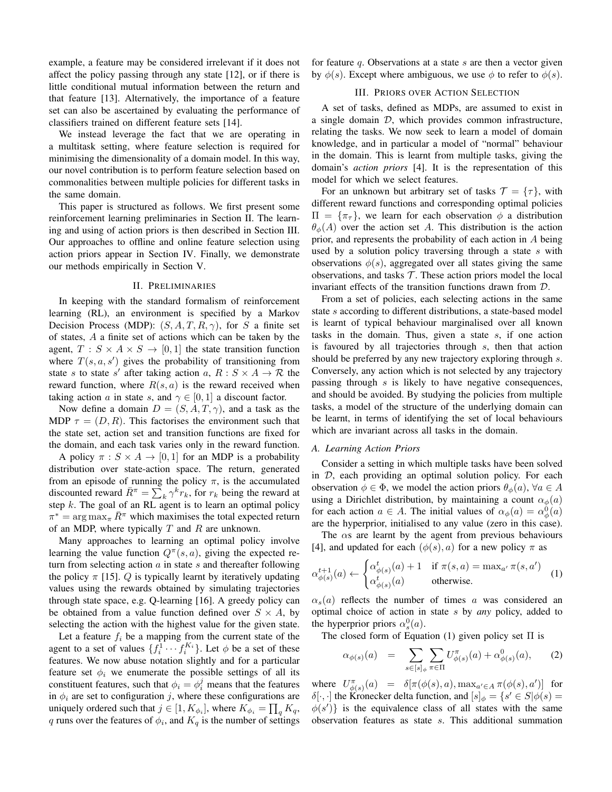example, a feature may be considered irrelevant if it does not affect the policy passing through any state [12], or if there is little conditional mutual information between the return and that feature [13]. Alternatively, the importance of a feature set can also be ascertained by evaluating the performance of classifiers trained on different feature sets [14].

We instead leverage the fact that we are operating in a multitask setting, where feature selection is required for minimising the dimensionality of a domain model. In this way, our novel contribution is to perform feature selection based on commonalities between multiple policies for different tasks in the same domain.

This paper is structured as follows. We first present some reinforcement learning preliminaries in Section II. The learning and using of action priors is then described in Section III. Our approaches to offline and online feature selection using action priors appear in Section IV. Finally, we demonstrate our methods empirically in Section V.

# II. PRELIMINARIES

In keeping with the standard formalism of reinforcement learning (RL), an environment is specified by a Markov Decision Process (MDP):  $(S, A, T, R, \gamma)$ , for S a finite set of states, A a finite set of actions which can be taken by the agent,  $T : S \times A \times S \rightarrow [0, 1]$  the state transition function where  $T(s, a, s')$  gives the probability of transitioning from state s to state s' after taking action a,  $R : S \times A \rightarrow \mathcal{R}$  the reward function, where  $R(s, a)$  is the reward received when taking action a in state s, and  $\gamma \in [0, 1]$  a discount factor.

Now define a domain  $D = (S, A, T, \gamma)$ , and a task as the MDP  $\tau = (D, R)$ . This factorises the environment such that the state set, action set and transition functions are fixed for the domain, and each task varies only in the reward function.

A policy  $\pi : S \times A \rightarrow [0,1]$  for an MDP is a probability distribution over state-action space. The return, generated from an episode of running the policy  $\pi$ , is the accumulated discounted reward  $\overline{R}^{\pi} = \sum_{k} \gamma^{k} r_{k}$ , for  $r_{k}$  being the reward at step  $k$ . The goal of an RL agent is to learn an optimal policy  $\pi^* = \arg \max_{\pi} \bar{R}^{\pi}$  which maximises the total expected return of an MDP, where typically  $T$  and  $R$  are unknown.

Many approaches to learning an optimal policy involve learning the value function  $Q^{\pi}(s, a)$ , giving the expected return from selecting action  $\alpha$  in state  $s$  and thereafter following the policy  $\pi$  [15]. Q is typically learnt by iteratively updating values using the rewards obtained by simulating trajectories through state space, e.g. Q-learning [16]. A greedy policy can be obtained from a value function defined over  $S \times A$ , by selecting the action with the highest value for the given state.

Let a feature  $f_i$  be a mapping from the current state of the agent to a set of values  $\{f_i^{\overline{1}} \cdots f_i^{K_i}\}$ . Let  $\phi$  be a set of these features. We now abuse notation slightly and for a particular feature set  $\phi_i$  we enumerate the possible settings of all its constituent features, such that  $\phi_i = \phi_i^j$  means that the features in  $\phi_i$  are set to configuration j, where these configurations are uniquely ordered such that  $j \in [1, K_{\phi_i}]$ , where  $K_{\phi_i} = \prod_q K_q$ , q runs over the features of  $\phi_i$ , and  $K_q$  is the number of settings for feature q. Observations at a state s are then a vector given by  $\phi(s)$ . Except where ambiguous, we use  $\phi$  to refer to  $\phi(s)$ .

# III. PRIORS OVER ACTION SELECTION

A set of tasks, defined as MDPs, are assumed to exist in a single domain  $D$ , which provides common infrastructure, relating the tasks. We now seek to learn a model of domain knowledge, and in particular a model of "normal" behaviour in the domain. This is learnt from multiple tasks, giving the domain's *action priors* [4]. It is the representation of this model for which we select features.

For an unknown but arbitrary set of tasks  $\mathcal{T} = {\tau}$ , with different reward functions and corresponding optimal policies  $\Pi = {\pi_{\tau}}$ , we learn for each observation  $\phi$  a distribution  $\theta_{\phi}(A)$  over the action set A. This distribution is the action prior, and represents the probability of each action in A being used by a solution policy traversing through a state  $s$  with observations  $\phi(s)$ , aggregated over all states giving the same observations, and tasks  $T$ . These action priors model the local invariant effects of the transition functions drawn from D.

From a set of policies, each selecting actions in the same state s according to different distributions, a state-based model is learnt of typical behaviour marginalised over all known tasks in the domain. Thus, given a state s, if one action is favoured by all trajectories through s, then that action should be preferred by any new trajectory exploring through s. Conversely, any action which is not selected by any trajectory passing through s is likely to have negative consequences, and should be avoided. By studying the policies from multiple tasks, a model of the structure of the underlying domain can be learnt, in terms of identifying the set of local behaviours which are invariant across all tasks in the domain.

#### *A. Learning Action Priors*

Consider a setting in which multiple tasks have been solved in D, each providing an optimal solution policy. For each observation  $\phi \in \Phi$ , we model the action priors  $\theta_{\phi}(a)$ ,  $\forall a \in A$ using a Dirichlet distribution, by maintaining a count  $\alpha_{\phi}(a)$ for each action  $a \in A$ . The initial values of  $\alpha_{\phi}(a) = \alpha_{\phi}^{0}(a)$ are the hyperprior, initialised to any value (zero in this case).

The  $\alpha$ s are learnt by the agent from previous behaviours [4], and updated for each  $(\phi(s), a)$  for a new policy  $\pi$  as

$$
\alpha_{\phi(s)}^{t+1}(a) \leftarrow \begin{cases} \alpha_{\phi(s)}^t(a) + 1 & \text{if } \pi(s, a) = \max_{a'} \pi(s, a')\\ \alpha_{\phi(s)}^t(a) & \text{otherwise.} \end{cases} (1)
$$

 $\alpha_s(a)$  reflects the number of times a was considered an optimal choice of action in state s by *any* policy, added to the hyperprior priors  $\alpha_s^0(a)$ .

The closed form of Equation (1) given policy set  $\Pi$  is

$$
\alpha_{\phi(s)}(a) = \sum_{s \in [s]_{\phi}} \sum_{\pi \in \Pi} U^{\pi}_{\phi(s)}(a) + \alpha^{0}_{\phi(s)}(a), \quad (2)
$$

where  $U_{\phi(s)}^{\pi}(a) = \delta[\pi(\phi(s), a), \max_{a' \in A} \pi(\phi(s), a')]$  for  $\delta[\cdot,\cdot]$  the Kronecker delta function, and  $[s]_{\phi} = \{s' \in S | \phi(s) = \emptyset\}$  $\phi(s')\}$  is the equivalence class of all states with the same observation features as state s. This additional summation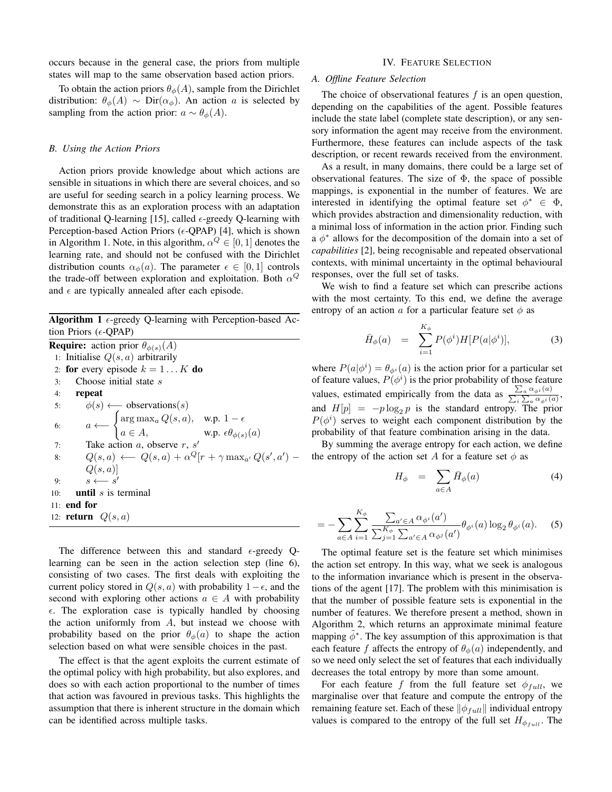occurs because in the general case, the priors from multiple states will map to the same observation based action priors.

To obtain the action priors  $\theta_{\phi}(A)$ , sample from the Dirichlet distribution:  $\theta_{\phi}(A) \sim \text{Dir}(\alpha_{\phi})$ . An action a is selected by sampling from the action prior:  $a \sim \theta_{\phi}(A)$ .

#### *B. Using the Action Priors*

Action priors provide knowledge about which actions are sensible in situations in which there are several choices, and so are useful for seeding search in a policy learning process. We demonstrate this as an exploration process with an adaptation of traditional Q-learning [15], called  $\epsilon$ -greedy Q-learning with Perception-based Action Priors ( $\epsilon$ -QPAP) [4], which is shown in Algorithm 1. Note, in this algorithm,  $\alpha^Q \in [0,1]$  denotes the learning rate, and should not be confused with the Dirichlet distribution counts  $\alpha_{\phi}(a)$ . The parameter  $\epsilon \in [0,1]$  controls the trade-off between exploration and exploitation. Both  $\alpha^Q$ and  $\epsilon$  are typically annealed after each episode.

Algorithm 1  $\epsilon$ -greedy Q-learning with Perception-based Action Priors ( $\epsilon$ -QPAP)

|     | <b>Require:</b> action prior $\theta_{\phi(s)}(A)$                                                                                                    |
|-----|-------------------------------------------------------------------------------------------------------------------------------------------------------|
|     | 1: Initialise $Q(s, a)$ arbitrarily                                                                                                                   |
|     | 2: for every episode $k = 1K$ do                                                                                                                      |
| 3:  | Choose initial state s                                                                                                                                |
| 4:  | repeat                                                                                                                                                |
| 5:  | $\phi(s) \longleftarrow$ observations(s)                                                                                                              |
| 6:  | $a \longleftarrow \begin{cases} \arg \max_a Q(s, a), & \text{w.p. } 1 - \epsilon \\ a \in A, & \text{w.p. } \epsilon \theta_{\phi(s)}(a) \end{cases}$ |
| 7:  | Take action $a$ , observe $r$ , $s'$                                                                                                                  |
| 8:  | $Q(s, a) \longleftarrow Q(s, a) + \alpha^{Q} [r + \gamma \max_{a'} Q(s', a') -$                                                                       |
|     | Q(s,a)                                                                                                                                                |
| 9:  | $s \longleftarrow s'$                                                                                                                                 |
| 10: | <b>until</b> $s$ is terminal                                                                                                                          |
|     | 11: end for                                                                                                                                           |
|     | 12: <b>return</b> $Q(s, a)$                                                                                                                           |

The difference between this and standard  $\epsilon$ -greedy Qlearning can be seen in the action selection step (line 6), consisting of two cases. The first deals with exploiting the current policy stored in  $Q(s, a)$  with probability  $1 - \epsilon$ , and the second with exploring other actions  $a \in A$  with probability  $\epsilon$ . The exploration case is typically handled by choosing the action uniformly from  $A$ , but instead we choose with probability based on the prior  $\theta_{\phi}(a)$  to shape the action selection based on what were sensible choices in the past.

The effect is that the agent exploits the current estimate of the optimal policy with high probability, but also explores, and does so with each action proportional to the number of times that action was favoured in previous tasks. This highlights the assumption that there is inherent structure in the domain which can be identified across multiple tasks.

#### IV. FEATURE SELECTION

# *A. Offline Feature Selection*

The choice of observational features  $f$  is an open question, depending on the capabilities of the agent. Possible features include the state label (complete state description), or any sensory information the agent may receive from the environment. Furthermore, these features can include aspects of the task description, or recent rewards received from the environment.

As a result, in many domains, there could be a large set of observational features. The size of  $\Phi$ , the space of possible mappings, is exponential in the number of features. We are interested in identifying the optimal feature set  $\phi^* \in \Phi$ , which provides abstraction and dimensionality reduction, with a minimal loss of information in the action prior. Finding such  $a \phi^*$  allows for the decomposition of the domain into a set of *capabilities* [2], being recognisable and repeated observational contexts, with minimal uncertainty in the optimal behavioural responses, over the full set of tasks.

We wish to find a feature set which can prescribe actions with the most certainty. To this end, we define the average entropy of an action a for a particular feature set  $\phi$  as

$$
\bar{H}_{\phi}(a) = \sum_{i=1}^{K_{\phi}} P(\phi^i) H[P(a|\phi^i)], \qquad (3)
$$

where  $P(a|\phi^i) = \theta_{\phi^i}(a)$  is the action prior for a particular set of feature values,  $P(\phi^i)$  is the prior probability of those feature values, estimated empirically from the data as  $\frac{\sum_a \alpha_{\phi^i}(a)}{\sum_a \sum_a \alpha_{\phi^i}(a)}$ , and  $H[p] = -p \log_2 p$  is the standard entropy. The prior  $P(\phi^i)$  serves to weight each component distribution by the probability of that feature combination arising in the data.

By summing the average entropy for each action, we define the entropy of the action set A for a feature set  $\phi$  as

$$
H_{\phi} = \sum_{a \in A} \bar{H}_{\phi}(a) \tag{4}
$$

$$
= -\sum_{a\in A} \sum_{i=1}^{K_{\phi}} \frac{\sum_{a'\in A} \alpha_{\phi^i}(a')}{\sum_{j=1}^{K_{\phi}} \sum_{a'\in A} \alpha_{\phi^j}(a')} \theta_{\phi^i}(a) \log_2 \theta_{\phi^i}(a). \tag{5}
$$

The optimal feature set is the feature set which minimises the action set entropy. In this way, what we seek is analogous to the information invariance which is present in the observations of the agent [17]. The problem with this minimisation is that the number of possible feature sets is exponential in the number of features. We therefore present a method, shown in Algorithm 2, which returns an approximate minimal feature mapping  $\tilde{\phi}^*$ . The key assumption of this approximation is that each feature f affects the entropy of  $\theta_{\phi}(a)$  independently, and so we need only select the set of features that each individually decreases the total entropy by more than some amount.

For each feature f from the full feature set  $\phi_{full}$ , we marginalise over that feature and compute the entropy of the remaining feature set. Each of these  $\|\phi_{full}\|$  individual entropy values is compared to the entropy of the full set  $H_{\phi_{full}}$ . The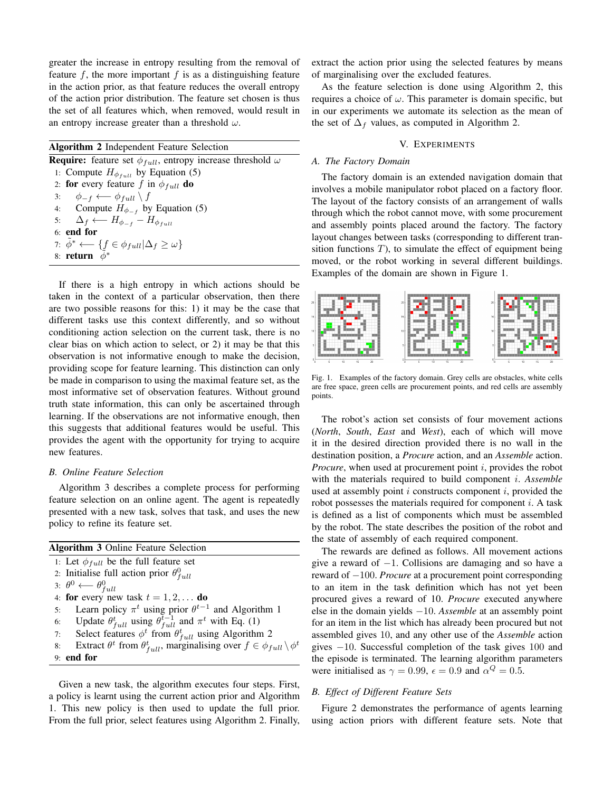greater the increase in entropy resulting from the removal of feature  $f$ , the more important  $f$  is as a distinguishing feature in the action prior, as that feature reduces the overall entropy of the action prior distribution. The feature set chosen is thus the set of all features which, when removed, would result in an entropy increase greater than a threshold  $\omega$ .

# Algorithm 2 Independent Feature Selection

**Require:** feature set  $\phi_{full}$ , entropy increase threshold  $\omega$ 1: Compute  $H_{\phi_{full}}$  by Equation (5) 2: for every feature f in  $\phi_{full}$  do 3:  $\phi_{-f} \longleftarrow \phi_{full} \setminus f$ 4: Compute  $H_{\phi_{-f}}$  by Equation (5) 5:  $\Delta_f \leftarrow H_{\phi_{-f}} - H_{\phi_{full}}$ 6: end for 7:  $\tilde{\phi}^* \longleftarrow \{ f \in \phi_{full} | \Delta_f \geq \omega \}$ 8: return  $\phi^*$ 

If there is a high entropy in which actions should be taken in the context of a particular observation, then there are two possible reasons for this: 1) it may be the case that different tasks use this context differently, and so without conditioning action selection on the current task, there is no clear bias on which action to select, or 2) it may be that this observation is not informative enough to make the decision, providing scope for feature learning. This distinction can only be made in comparison to using the maximal feature set, as the most informative set of observation features. Without ground truth state information, this can only be ascertained through learning. If the observations are not informative enough, then this suggests that additional features would be useful. This provides the agent with the opportunity for trying to acquire new features.

# *B. Online Feature Selection*

Algorithm 3 describes a complete process for performing feature selection on an online agent. The agent is repeatedly presented with a new task, solves that task, and uses the new policy to refine its feature set.

| <b>Algorithm 3 Online Feature Selection</b>                                                               |  |
|-----------------------------------------------------------------------------------------------------------|--|
|                                                                                                           |  |
| 1: Let $\phi_{full}$ be the full feature set                                                              |  |
| 2: Initialise full action prior $\theta_{full}^0$                                                         |  |
| $3: \theta^0 \longleftarrow \theta^0_{full}$                                                              |  |
| 4: for every new task $t = 1, 2, \dots$ do                                                                |  |
| 5: Learn policy $\pi^t$ using prior $\theta^{t-1}$ and Algorithm 1                                        |  |
| 6: Update $\theta_{full}^t$ using $\theta_{full}^{t-1}$ and $\pi^t$ with Eq. (1)                          |  |
| 7: Select features $\phi^t$ from $\theta_{full}^t$ using Algorithm 2                                      |  |
| Extract $\theta^t$ from $\theta^t_{full}$ , marginalising over $f \in \phi_{full} \setminus \phi^t$<br>8: |  |
| $9:$ end for                                                                                              |  |

Given a new task, the algorithm executes four steps. First, a policy is learnt using the current action prior and Algorithm 1. This new policy is then used to update the full prior. From the full prior, select features using Algorithm 2. Finally, extract the action prior using the selected features by means of marginalising over the excluded features.

As the feature selection is done using Algorithm 2, this requires a choice of  $\omega$ . This parameter is domain specific, but in our experiments we automate its selection as the mean of the set of  $\Delta_f$  values, as computed in Algorithm 2.

# V. EXPERIMENTS

# *A. The Factory Domain*

The factory domain is an extended navigation domain that involves a mobile manipulator robot placed on a factory floor. The layout of the factory consists of an arrangement of walls through which the robot cannot move, with some procurement and assembly points placed around the factory. The factory layout changes between tasks (corresponding to different transition functions  $T$ ), to simulate the effect of equipment being moved, or the robot working in several different buildings. Examples of the domain are shown in Figure 1.



Fig. 1. Examples of the factory domain. Grey cells are obstacles, white cells are free space, green cells are procurement points, and red cells are assembly points.

The robot's action set consists of four movement actions (*North*, *South*, *East* and *West*), each of which will move it in the desired direction provided there is no wall in the destination position, a *Procure* action, and an *Assemble* action. *Procure*, when used at procurement point *i*, provides the robot with the materials required to build component i. *Assemble* used at assembly point  $i$  constructs component  $i$ , provided the robot possesses the materials required for component  $i$ . A task is defined as a list of components which must be assembled by the robot. The state describes the position of the robot and the state of assembly of each required component.

The rewards are defined as follows. All movement actions give a reward of −1. Collisions are damaging and so have a reward of −100. *Procure* at a procurement point corresponding to an item in the task definition which has not yet been procured gives a reward of 10. *Procure* executed anywhere else in the domain yields −10. *Assemble* at an assembly point for an item in the list which has already been procured but not assembled gives 10, and any other use of the *Assemble* action gives −10. Successful completion of the task gives 100 and the episode is terminated. The learning algorithm parameters were initialised as  $\gamma = 0.99$ ,  $\epsilon = 0.9$  and  $\alpha^Q = 0.5$ .

# *B. Effect of Different Feature Sets*

Figure 2 demonstrates the performance of agents learning using action priors with different feature sets. Note that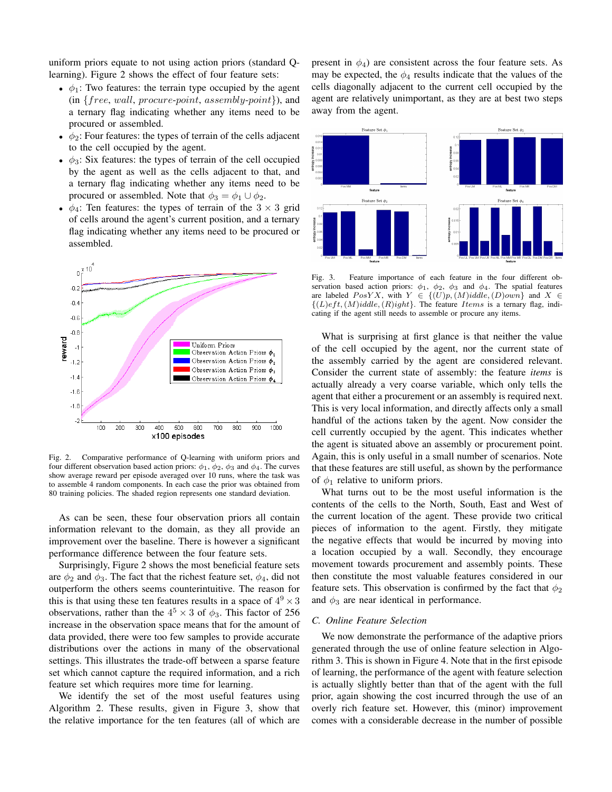uniform priors equate to not using action priors (standard Qlearning). Figure 2 shows the effect of four feature sets:

- $\phi_1$ : Two features: the terrain type occupied by the agent  $(in \{free, wall, procure-point, assembly-point\}), and$ a ternary flag indicating whether any items need to be procured or assembled.
- $\phi_2$ : Four features: the types of terrain of the cells adjacent to the cell occupied by the agent.
- $\phi_3$ : Six features: the types of terrain of the cell occupied by the agent as well as the cells adjacent to that, and a ternary flag indicating whether any items need to be procured or assembled. Note that  $\phi_3 = \phi_1 \cup \phi_2$ .
- $\phi_4$ : Ten features: the types of terrain of the  $3 \times 3$  grid of cells around the agent's current position, and a ternary flag indicating whether any items need to be procured or assembled.



Fig. 2. Comparative performance of Q-learning with uniform priors and four different observation based action priors:  $\phi_1$ ,  $\phi_2$ ,  $\phi_3$  and  $\phi_4$ . The curves show average reward per episode averaged over 10 runs, where the task was to assemble 4 random components. In each case the prior was obtained from 80 training policies. The shaded region represents one standard deviation.

As can be seen, these four observation priors all contain information relevant to the domain, as they all provide an improvement over the baseline. There is however a significant performance difference between the four feature sets.

Surprisingly, Figure 2 shows the most beneficial feature sets are  $\phi_2$  and  $\phi_3$ . The fact that the richest feature set,  $\phi_4$ , did not outperform the others seems counterintuitive. The reason for this is that using these ten features results in a space of  $4^9 \times 3$ observations, rather than the  $4^5 \times 3$  of  $\phi_3$ . This factor of 256 increase in the observation space means that for the amount of data provided, there were too few samples to provide accurate distributions over the actions in many of the observational settings. This illustrates the trade-off between a sparse feature set which cannot capture the required information, and a rich feature set which requires more time for learning.

We identify the set of the most useful features using Algorithm 2. These results, given in Figure 3, show that the relative importance for the ten features (all of which are present in  $\phi_4$ ) are consistent across the four feature sets. As may be expected, the  $\phi_4$  results indicate that the values of the cells diagonally adjacent to the current cell occupied by the agent are relatively unimportant, as they are at best two steps away from the agent.



Fig. 3. Feature importance of each feature in the four different observation based action priors:  $\phi_1$ ,  $\phi_2$ ,  $\phi_3$  and  $\phi_4$ . The spatial features are labeled  $PosYX$ , with  $Y \in \{(U)p, (M)iddle, (D)own\}$  and  $X \in$  ${(L)eft, (M)iddle, (R)ight}.$  The feature Items is a ternary flag, indicating if the agent still needs to assemble or procure any items.

What is surprising at first glance is that neither the value of the cell occupied by the agent, nor the current state of the assembly carried by the agent are considered relevant. Consider the current state of assembly: the feature *items* is actually already a very coarse variable, which only tells the agent that either a procurement or an assembly is required next. This is very local information, and directly affects only a small handful of the actions taken by the agent. Now consider the cell currently occupied by the agent. This indicates whether the agent is situated above an assembly or procurement point. Again, this is only useful in a small number of scenarios. Note that these features are still useful, as shown by the performance of  $\phi_1$  relative to uniform priors.

What turns out to be the most useful information is the contents of the cells to the North, South, East and West of the current location of the agent. These provide two critical pieces of information to the agent. Firstly, they mitigate the negative effects that would be incurred by moving into a location occupied by a wall. Secondly, they encourage movement towards procurement and assembly points. These then constitute the most valuable features considered in our feature sets. This observation is confirmed by the fact that  $\phi_2$ and  $\phi_3$  are near identical in performance.

# *C. Online Feature Selection*

We now demonstrate the performance of the adaptive priors generated through the use of online feature selection in Algorithm 3. This is shown in Figure 4. Note that in the first episode of learning, the performance of the agent with feature selection is actually slightly better than that of the agent with the full prior, again showing the cost incurred through the use of an overly rich feature set. However, this (minor) improvement comes with a considerable decrease in the number of possible